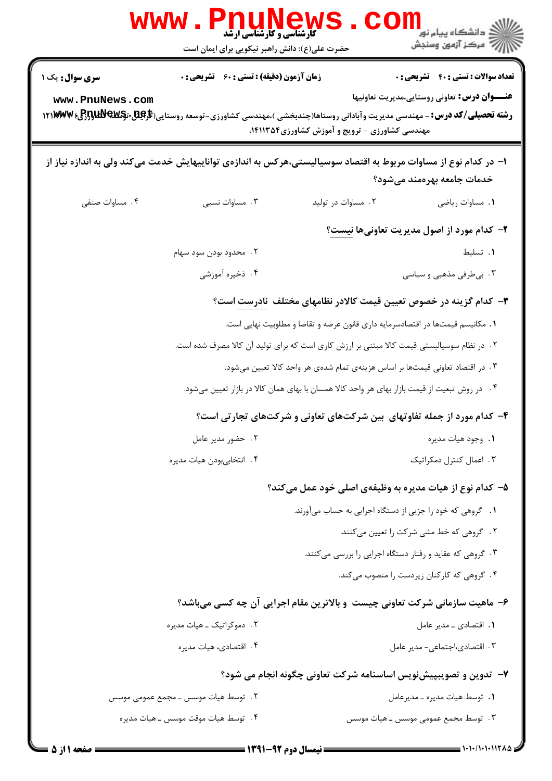| <b>WWW</b>                                                                                                                                                                    | <b>MELLACE</b><br>کارشناسی و کارشناسی ارشد<br>حضرت علی(ع): دانش راهبر نیکویی برای ایمان است |                                                 | ڪ دانشڪاه پيام نور<br>ا∛ مرڪز آزمون وسنڊش                                                           |
|-------------------------------------------------------------------------------------------------------------------------------------------------------------------------------|---------------------------------------------------------------------------------------------|-------------------------------------------------|-----------------------------------------------------------------------------------------------------|
| <b>سری سوال :</b> یک ۱<br>www.PnuNews.com<br><b>رشته تحصیلی/کد درس:</b> - مهندسی مدیریت وآبادانی روستاها(چندبخشی )،مهندسی کشاورزی-توسعه روستایی( <b>گرایلآل 1۲۱۳۳۷۷ ور</b> [ع | <b>زمان آزمون (دقیقه) : تستی : 60 ٪ تشریحی : 0</b>                                          |                                                 | <b>تعداد سوالات : تستی : 40 - تشریحی : 0</b><br><b>عنـــوان درس:</b> تعاوني روستايي،مديريت تعاونيها |
|                                                                                                                                                                               |                                                                                             | مهندسی کشاورزی - ترویج و آموزش کشاورزی ۱۴۱۱۳۵۴، |                                                                                                     |
| ا– در کدام نوع از مساوات مربوط به اقتصاد سوسیالیستی،هرکس به اندازهی تواناییهایش خدمت میکند ولی به اندازه نیاز از                                                              |                                                                                             |                                                 | خدمات جامعه بهرەمند مىشود؟                                                                          |
| ۰۴ مساوات صنفی                                                                                                                                                                | ۰۳ مساوات نسبی                                                                              | ۰۲ مساوات در تولید                              | ٠١. مساوات رياضي                                                                                    |
|                                                                                                                                                                               |                                                                                             |                                                 | ۲- کدام مورد از اصول مدیریت تعاونیها نیست؟                                                          |
|                                                                                                                                                                               | ۲. محدود بودن سود سهام                                                                      |                                                 | ٠١. تسليط                                                                                           |
|                                                                                                                                                                               | ۰۴ ذخیره آموزشی                                                                             |                                                 | ۰۳ بی طرفی مذهبی و سیاسی                                                                            |
|                                                                                                                                                                               |                                                                                             |                                                 | <b>۳</b> – کدام گزینه در خصوص تعیین قیمت کالادر نظامهای مختلف <mark>نادرست</mark> است؟              |
|                                                                                                                                                                               |                                                                                             |                                                 | ۰۱ مکانیسم قیمتها در اقتصادسرمایه داری قانون عرضه و تقاضا و مطلوبیت نهایی است.                      |
|                                                                                                                                                                               | ۲ . در نظام سوسیالیستی قیمت کالا مبتنی بر ارزش کاری است که برای تولید آن کالا مصرف شده است. |                                                 |                                                                                                     |
|                                                                                                                                                                               |                                                                                             |                                                 | ۰۳ در اقتصاد تعاونی قیمتها بر اساس هزینهی تمام شدهی هر واحد کالا تعیین میشود.                       |
|                                                                                                                                                                               |                                                                                             |                                                 | ۰۴ در روش تبعیت از قیمت بازار بهای هر واحد کالا همسان با بهای همان کالا در بازار تعیین میشود.       |
|                                                                                                                                                                               |                                                                                             |                                                 | ۴- کدام مورد از جمله تفاوتهای بین شرکتهای تعاونی و شرکتهای تجارتی است؟                              |
|                                                                                                                                                                               | ۰۲ حضور مدیر عامل                                                                           |                                                 | ٠١. وجود هيات مديره                                                                                 |
|                                                                                                                                                                               | ۴. انتخابىبودن هيات مديره                                                                   |                                                 | ۰۳ اعمال کنترل دمکراتیک                                                                             |
|                                                                                                                                                                               |                                                                                             |                                                 | ۵– کدام نوع از هیات مدیره به وظیفهی اصلی خود عمل میکند؟                                             |
|                                                                                                                                                                               |                                                                                             |                                                 | ۰۱ گروهی که خود را جزیی از دستگاه اجرایی به حساب میآورند.                                           |
|                                                                                                                                                                               |                                                                                             |                                                 | ۲. گروهی که خط مشی شرکت را تعیین میکنند.                                                            |
|                                                                                                                                                                               |                                                                                             |                                                 | ۰۳ گروهی که عقاید و رفتار دستگاه اجرایی را بررسی میکنند.                                            |
|                                                                                                                                                                               |                                                                                             |                                                 | ۴. گروهی که کارکنان زیردست را منصوب میکند.                                                          |
|                                                                                                                                                                               |                                                                                             |                                                 | ۶- ماهیت سازمانی شرکت تعاونی چیست و بالاترین مقام اجرایی آن چه کسی میباشد؟                          |
|                                                                                                                                                                               | ۲. دموکراتیک ـ هیات مدیره                                                                   |                                                 | ۰۱ اقتصادی ـ مدیر عامل                                                                              |
|                                                                                                                                                                               | ۴. اقتصادی، هیات مدیره                                                                      |                                                 | ۰۳ اقتصادی،اجتماعی- مدیر عامل                                                                       |
|                                                                                                                                                                               |                                                                                             |                                                 | ۷–  تدوین و تصویبپیشنویس اساسنامه شرکت تعاونی چگونه انجام می شود؟                                   |
|                                                                                                                                                                               | ۲ . توسط هیات موسس ـ مجمع عمومی موسس                                                        |                                                 | ٠١. توسط هيات مديره ـ مدير عامل                                                                     |
|                                                                                                                                                                               | ۰۴ توسط هیات موقت موسس ـ هیات مدیره                                                         |                                                 | ۳ . توسط مجمع عمومی موسس ــ هیات موسس                                                               |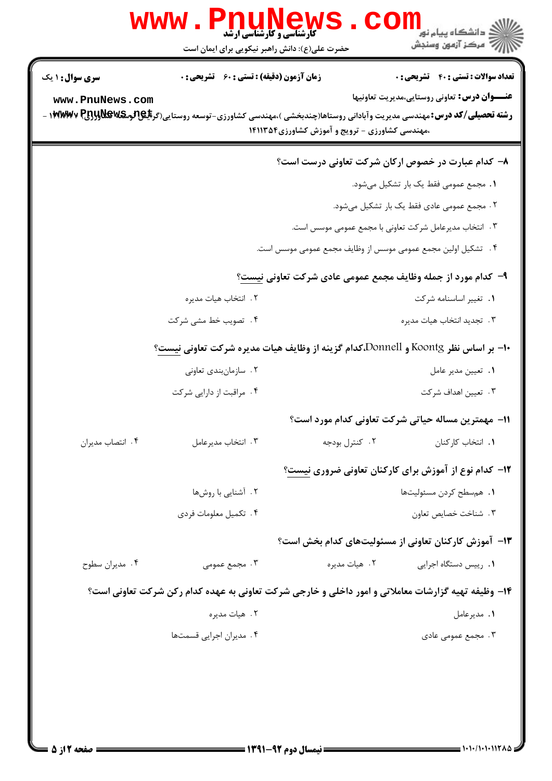|                        | <b>کارشناسی و کارشناسی ارشد</b><br>حضرت علی(ع): دانش راهبر نیکویی برای ایمان است                                                      |                                                | ڪ دانشڪاه پيا <sub>م</sub> نور<br>7ء مرڪز آزمون وسنڊش         |
|------------------------|---------------------------------------------------------------------------------------------------------------------------------------|------------------------------------------------|---------------------------------------------------------------|
| <b>سری سوال :</b> ۱ یک | زمان آزمون (دقیقه) : تستی : 60 قشریحی : 0                                                                                             |                                                | <b>تعداد سوالات : تستی : 40 قشریحی : 0</b>                    |
| www.PnuNews.com        | <b>رشته تحصیلی/کد درس:</b> مهندسی مدیریت وآبادانی روستاها(چندبخشی )،مهندسی کشاورزی-توسعه روستایی(گر <b>بلیPتومکلاولولیRywv P</b><br>. | ،مهندسی کشاورزی - ترویج و آموزش کشاورزی۱۴۱۱۳۵۴ | <b>عنـــوان درس:</b> تعاونی روستایی،مدیریت تعاونیها           |
|                        |                                                                                                                                       |                                                | ۸– کدام عبارت در خصوص ارکان شرکت تعاونی درست است؟             |
|                        |                                                                                                                                       |                                                | ٠١. مجمع عمومي فقط يک بار تشكيل مي شود.                       |
|                        |                                                                                                                                       |                                                | ٢. مجمع عمومي عادي فقط يک بار تشکيل ميشود.                    |
|                        |                                                                                                                                       |                                                | ۰۳ انتخاب مدیرعامل شرکت تعاونی با مجمع عمومی موسس است.        |
|                        |                                                                                                                                       |                                                | ۴ . تشکیل اولین مجمع عمومی موسس از وظایف مجمع عمومی موسس است. |
|                        |                                                                                                                                       |                                                | ۹- کدام مورد از جمله وظایف مجمع عمومی عادی شرکت تعاونی نیست؟  |
|                        | ٢. انتخاب هيات مديره                                                                                                                  |                                                | ٠١ تغيير اساسنامه شركت                                        |
|                        | ۰۴ تصویب خط مشی شرکت                                                                                                                  |                                                | ٠٣. تجديد انتخاب هيات مديره                                   |
|                        | +ا– بر اساس نظر Koontg و Donnell،كدام گزینه از وظایف هیات مدیره شركت تعاونی نیست؟                                                     |                                                |                                                               |
|                        | ۰۲ سازمانبندی تعاونی                                                                                                                  |                                                | ٠١. تعيين مدير عامل                                           |
|                        | ۰۴ مراقبت از دارایی شرکت                                                                                                              |                                                | ۰۳ تعیین اهداف شرکت                                           |
|                        |                                                                                                                                       |                                                | 11- مهمترین مساله حیاتی شرکت تعاونی کدام مورد است؟            |
| ۰۴ انتصاب مديران       | ۰۳ انتخاب مديرعامل                                                                                                                    | ۰۲ کنترل بودجه                                 | ٠١. انتخاب كاركنان                                            |
|                        |                                                                                                                                       |                                                | ۱۲- کدام نوع از آموزش برای کارکنان تعاونی ضروری نیست؟         |
|                        | ۲. آشنایی با روشها                                                                                                                    |                                                | ٠١. هم سطح كردن مسئوليتها                                     |
|                        | ۰۴ تکمیل معلومات فردی                                                                                                                 |                                                | ٠٣. شناخت خصايص تعاون                                         |
|                        |                                                                                                                                       |                                                | ۱۳- آموزش کارکنان تعاونی از مسئولیتهای کدام بخش است؟          |
| ۰۴ مديران سطوح         | ۰۳ مجمع عمومی                                                                                                                         | ۰۲ هيات مديره                                  | ٠١. رييس دستگاه اجرايي                                        |
|                        | ۱۴- وظیفه تهیه گزارشات معاملاتی و امور داخلی و خارجی شرکت تعاونی به عهده کدام رکن شرکت تعاونی است؟                                    |                                                |                                                               |
|                        | ۰۲ هيات مديره                                                                                                                         |                                                | <b>۱.</b> مدیرعامل                                            |
|                        | ۰۴ مدیران اجرایی قسمتها                                                                                                               |                                                | ۰۳ مجمع عمومی عادی                                            |
|                        |                                                                                                                                       |                                                |                                                               |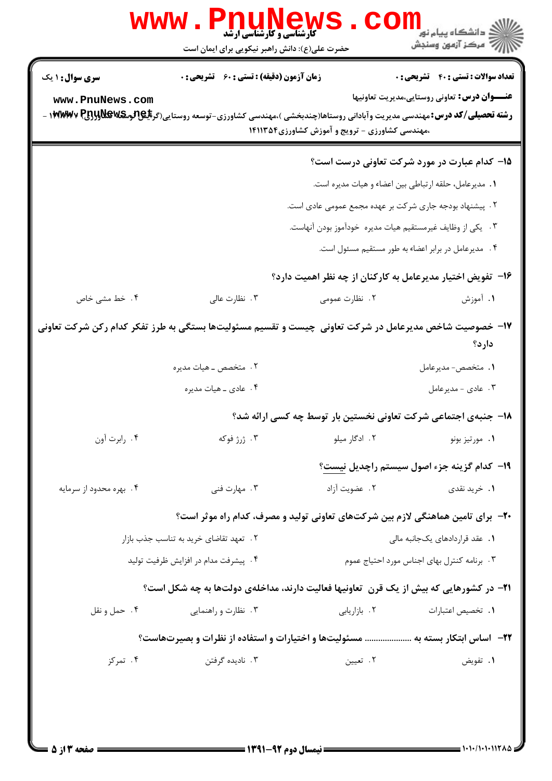|                                           | <b>www.PnuNew</b><br><b>کارشناسی و کارشناسی ارشد</b><br>حضرت علی(ع): دانش راهبر نیکویی برای ایمان است |                                                                                                                                                                                                  | ر دانشڪاه پيام نور <mark>−</mark><br>ا∛ مرکز آزمون وسنڊش                                            |
|-------------------------------------------|-------------------------------------------------------------------------------------------------------|--------------------------------------------------------------------------------------------------------------------------------------------------------------------------------------------------|-----------------------------------------------------------------------------------------------------|
| <b>سری سوال : ۱ یک</b><br>www.PnuNews.com | <b>زمان آزمون (دقیقه) : تستی : 60 ٪ تشریحی : 0</b>                                                    | <b>رشته تحصیلی/کد درس:</b> مهندسی مدیریت وآبادانی روستاها(چندبخشی )،مهندسی کشاورزی-توسعه روستایی(گر <b>بلیهالوبکلاولالولاولیا) ۱۴۲۳/۱۷۷</b> -<br>،مهندسی کشاورزی - ترویج و آموزش کشاورزی ۱۴۱۱۳۵۴ | <b>تعداد سوالات : تستي : 40 ٪ تشريحي : 0</b><br><b>عنـــوان درس:</b> تعاوني روستايي،مديريت تعاونيها |
|                                           |                                                                                                       | ١. مديرعامل، حلقه ارتباطي بين اعضاء و هيات مديره است.<br>۲ . پیشنهاد بودجه جاری شرکت بر عهده مجمع عمومی عادی است.<br>۰۳ یکی از وظایف غیرمستقیم هیات مدیره خودآموز بودن آنهاست.                   | ۱۵– کدام عبارت در مورد شرکت تعاونی درست است؟<br>۴. مدیرعامل در برابر اعضاء به طور مستقیم مسئول است. |
| ۰۴ خط مشی خاص                             | ۰۳ نظارت عالی                                                                                         | ۱۶– تفویض اختیار مدیرعامل به کارکنان از چه نظر اهمیت دارد؟<br>۲. نظارت عمومی                                                                                                                     | ۱. آموزش                                                                                            |
|                                           | ٢. متخصص ــ هيات مديره<br>۴. عادي _ هيات مديره                                                        | ۱۷– خصوصیت شاخص مدیرعامل در شرکت تعاونی چیست و تقسیم مسئولیتها بستگی به طرز تفکر کدام رکن شرکت تعاونی                                                                                            | دارد؟<br><b>۱.</b> متخصص- مدیرعامل<br>۰۳ مادی - مدیرعامل                                            |
| ۰۴ رابرت آون                              | ۰۳ ژرژ فوکه                                                                                           | ۱۸- جنبهی اجتماعی شرکت تعاونی نخستین بار توسط چه کسی ارائه شد؟<br>۰۲ ادگار میلو                                                                                                                  | ٠١ مورتيز بونو                                                                                      |
| ۰۴ بهره محدود از سرمايه                   | ۰۳ مهارت فنی                                                                                          | ۲. عضویت آزاد                                                                                                                                                                                    | <b>۱۹</b> کدام گزینه جزء اصول سیستم راچدیل نیست؟<br>۰۱ خرید نقدی                                    |
|                                           | ۲. تعهد تقاضای خرید به تناسب جذب بازار<br>۰۴ پیشرفت مدام در افزایش ظرفیت تولید                        | +۲- برای تامین هماهنگی لازم بین شرکتهای تعاونی تولید و مصرف، کدام راه موثر است؟                                                                                                                  | 1. عقد قراردادهای یکجانبه مالی<br>۰۳ برنامه کنترل بهای اجناس مورد احتیاج عموم                       |
| ۰۴ حمل و نقل                              | ۰۳ نظارت و راهنمایی                                                                                   | <b>۲۱</b> - در کشورهایی که بیش از یک قرن تعاونیها فعالیت دارند، مداخلهی دولتها به چه شکل است؟<br>۲. بازاریابی                                                                                    | ٠١. تخصيص اعتبارات                                                                                  |
| ۰۴ تمرکز                                  | ۰۳ نادیده گرفتن                                                                                       | ۲۲−   اساس ابتکار بسته به  مسئولیتها و اختیارات و استفاده از نظرات و بصیرتهاست؟<br>٢. تعيين                                                                                                      | ٠١. تفويض                                                                                           |
|                                           |                                                                                                       |                                                                                                                                                                                                  |                                                                                                     |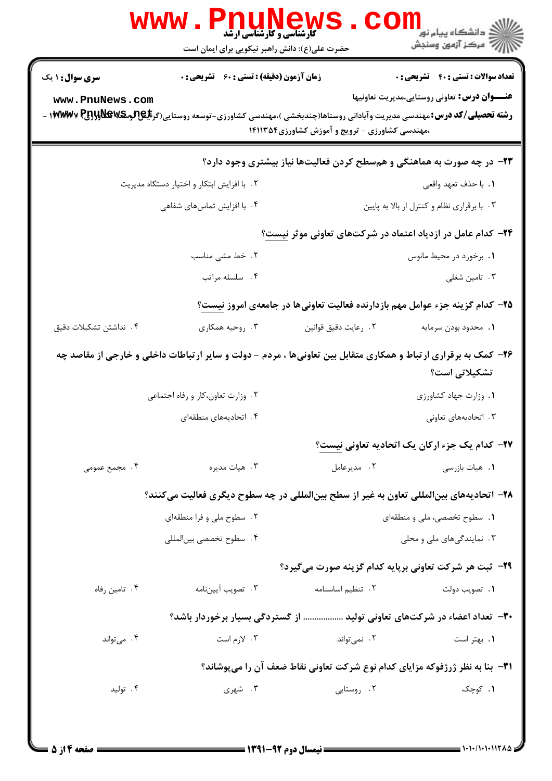| ڪ دانشڪاه پيام نور<br><i>¶</i> مرڪز آزمون وسنڊش<br><b>ٔ کارشناسی و کارشناسی ارشد</b><br>حضرت علی(ع): دانش راهبر نیکویی برای ایمان است                                                                                                                           |
|-----------------------------------------------------------------------------------------------------------------------------------------------------------------------------------------------------------------------------------------------------------------|
| <b>زمان آزمون (دقیقه) : تستی : 60 ٪ تشریحی : 0</b><br><b>تعداد سوالات : تستی : 40 قشریحی : 0</b><br><b>سری سوال : ۱ یک</b>                                                                                                                                      |
| <b>عنـــوان درس:</b> تعاوني روستايي،مديريت تعاونيها<br>www.PnuNews.com<br><b>رشته تحصیلی/کد درس:</b> مهندسی مدیریت وآبادانی روستاها(چندبخشی )،مهندسی کشاورزی-توسعه روستایی(گر <b>بلیهالوترلیللی ۱۴۷۳۷۷۷</b> -<br>،مهندسی کشاورزی - ترویج و آموزش کشاورزی۱۴۱۱۳۵۴ |
| <b>۲۳</b> - در چه صورت به هماهنگی و همسطح کردن فعالیتها نیاز بیشتری وجود دارد؟                                                                                                                                                                                  |
| ۲. با افزایش ابتکار و اختیار دستگاه مدیریت<br>١. با حذف تعهد واقعي                                                                                                                                                                                              |
| ۴. با افزایش تماسهای شفاهی<br>۰۳ با برقراری نظام و کنترل از بالا به پایین                                                                                                                                                                                       |
| <b>۳۴</b> - کدام عامل در ازدیاد اعتماد در شرکتهای تعاونی موثر نیست؟                                                                                                                                                                                             |
| ۲. خط مشی مناسب<br>۰۱ برخورد در محیط مانوس                                                                                                                                                                                                                      |
| ۰۴ سلسله مراتب<br>۰۳ تامین شغلی                                                                                                                                                                                                                                 |
| ۲۵– کدام گزینه جزء عوامل مهم بازدارنده فعالیت تعاونیها در جامعهی امروز نیست؟                                                                                                                                                                                    |
| ۰۳ روحيه همكاري<br>۰۴ نداشتن تشکیلات دقیق<br>٠٢ رعايت دقيق قوانين<br>1. محدود بودن سرمايه                                                                                                                                                                       |
| ۲۶- کمک به برقراری ارتباط و همکاری متقابل بین تعاونیها ، مردم - دولت و سایر ارتباطات داخلی و خارجی از مقاصد چه<br>تشکیلات <i>ی</i> است؟                                                                                                                         |
| ۲. وزارت تعاون،کار و رفاه اجتماعی<br>٠١. وزارت جهاد كشاورزى                                                                                                                                                                                                     |
| ۰۳ اتحادیههای تعاونی<br>۴. اتحادیههای منطقهای                                                                                                                                                                                                                   |
| ٢٧- كدام يك جزء اركان يك اتحاديه تعاوني نيست؟                                                                                                                                                                                                                   |
| ۰۴ مجمع عمومی<br>۰۳ هيات مديره<br>۰۲ مدیرعامل<br>۰۱ هيات بازرسي                                                                                                                                                                                                 |
| ۲۸– اتحادیههای بینالمللی تعاون به غیر از سطح بینالمللی در چه سطوح دیگری فعالیت میکنند؟                                                                                                                                                                          |
| ۲. سطوح ملی و فرا منطقهای<br>۰۱ سطوح تخصصی، ملی و منطقهای                                                                                                                                                                                                       |
| ۰۳ نمایندگیهای ملی و محلی<br>۰۴ سطوح تخصصي بينالمللي                                                                                                                                                                                                            |
| <b>۲۹</b> - ثبت هر شرکت تعاونی برپایه کدام گزینه صورت میگیرد؟                                                                                                                                                                                                   |
| ۰۳ تصويب آييننامه<br>٢. تنظيم اساسنامه<br>۰۴ تامین رفاه<br>۰۱ تصویب دولت                                                                                                                                                                                        |
| ۳۰– تعداد اعضاء در شرکتهای تعاونی تولید  از گستردگی بسیار برخوردار باشد؟                                                                                                                                                                                        |
| ۰۴ میتواند<br>۰۲ نمیتواند<br>۰۳ لازم است<br>٠١. بهتر است                                                                                                                                                                                                        |
| ۳۱−  بنا به نظر ژرژفوکه مزایای کدام نوع شرکت تعاونی نقاط ضعف آن را میپوشاند؟                                                                                                                                                                                    |
| ۰۳ شهری<br>۰۲ روستایی<br>۰۱ کوچک<br>۰۴ تولید                                                                                                                                                                                                                    |
|                                                                                                                                                                                                                                                                 |